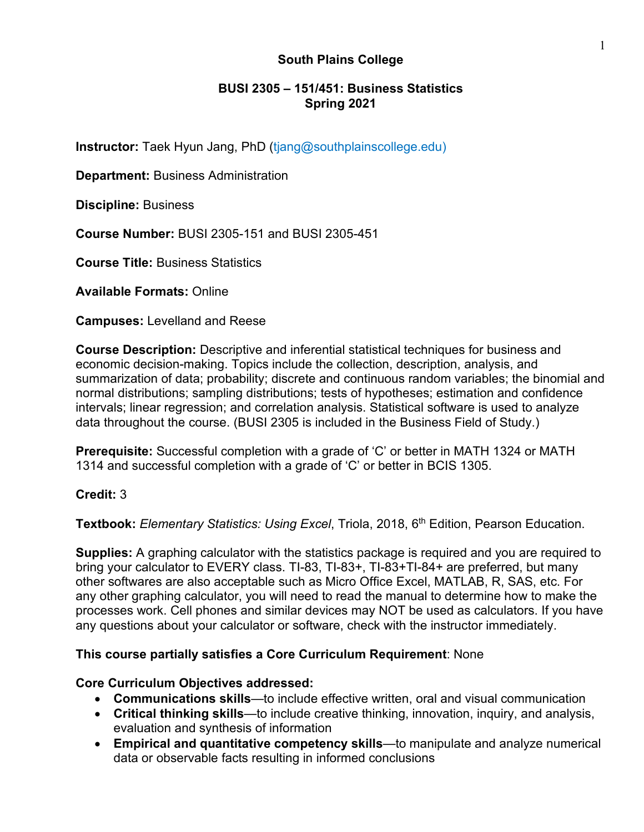## **South Plains College**

## **BUSI 2305 – 151/451: Business Statistics Spring 2021**

**Instructor:** Taek Hyun Jang, PhD (tjang@southplainscollege.edu)

**Department:** Business Administration

**Discipline:** Business

**Course Number:** BUSI 2305-151 and BUSI 2305-451

**Course Title:** Business Statistics

**Available Formats:** Online

**Campuses:** Levelland and Reese

**Course Description:** Descriptive and inferential statistical techniques for business and economic decision-making. Topics include the collection, description, analysis, and summarization of data; probability; discrete and continuous random variables; the binomial and normal distributions; sampling distributions; tests of hypotheses; estimation and confidence intervals; linear regression; and correlation analysis. Statistical software is used to analyze data throughout the course. (BUSI 2305 is included in the Business Field of Study.)

**Prerequisite:** Successful completion with a grade of 'C' or better in MATH 1324 or MATH 1314 and successful completion with a grade of 'C' or better in BCIS 1305.

**Credit:** 3

**Textbook:** *Elementary Statistics: Using Excel*, Triola, 2018, 6th Edition, Pearson Education.

**Supplies:** A graphing calculator with the statistics package is required and you are required to bring your calculator to EVERY class. TI-83, TI-83+, TI-83+TI-84+ are preferred, but many other softwares are also acceptable such as Micro Office Excel, MATLAB, R, SAS, etc. For any other graphing calculator, you will need to read the manual to determine how to make the processes work. Cell phones and similar devices may NOT be used as calculators. If you have any questions about your calculator or software, check with the instructor immediately.

### **This course partially satisfies a Core Curriculum Requirement**: None

#### **Core Curriculum Objectives addressed:**

- **Communications skills**—to include effective written, oral and visual communication
- **Critical thinking skills**—to include creative thinking, innovation, inquiry, and analysis, evaluation and synthesis of information
- **Empirical and quantitative competency skills**—to manipulate and analyze numerical data or observable facts resulting in informed conclusions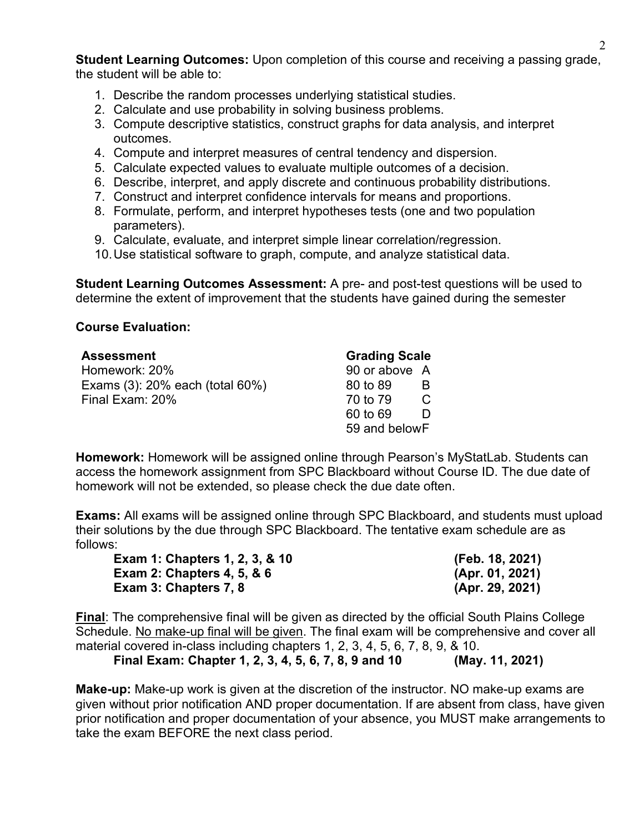**Student Learning Outcomes:** Upon completion of this course and receiving a passing grade, the student will be able to:

- 1. Describe the random processes underlying statistical studies.
- 2. Calculate and use probability in solving business problems.
- 3. Compute descriptive statistics, construct graphs for data analysis, and interpret outcomes.
- 4. Compute and interpret measures of central tendency and dispersion.
- 5. Calculate expected values to evaluate multiple outcomes of a decision.
- 6. Describe, interpret, and apply discrete and continuous probability distributions.
- 7. Construct and interpret confidence intervals for means and proportions.
- 8. Formulate, perform, and interpret hypotheses tests (one and two population parameters).
- 9. Calculate, evaluate, and interpret simple linear correlation/regression.
- 10.Use statistical software to graph, compute, and analyze statistical data.

**Student Learning Outcomes Assessment:** A pre- and post-test questions will be used to determine the extent of improvement that the students have gained during the semester

## **Course Evaluation:**

| <b>Assessment</b>               | <b>Grading Scale</b> |   |
|---------------------------------|----------------------|---|
| Homework: 20%                   | 90 or above A        |   |
| Exams (3): 20% each (total 60%) | 80 to 89             | B |
| Final Exam: 20%                 | 70 to 79<br>C.       |   |
|                                 | 60 to 69             | D |
|                                 | 59 and belowF        |   |

**Homework:** Homework will be assigned online through Pearson's MyStatLab. Students can access the homework assignment from SPC Blackboard without Course ID. The due date of homework will not be extended, so please check the due date often.

**Exams:** All exams will be assigned online through SPC Blackboard, and students must upload their solutions by the due through SPC Blackboard. The tentative exam schedule are as follows:

| <b>Exam 1: Chapters 1, 2, 3, &amp; 10</b> | (Feb. 18, 2021) |
|-------------------------------------------|-----------------|
| <b>Exam 2: Chapters 4, 5, &amp; 6</b>     | (Apr. 01, 2021) |
| Exam 3: Chapters 7, 8                     | (Apr. 29, 2021) |

**Final**: The comprehensive final will be given as directed by the official South Plains College Schedule. No make-up final will be given. The final exam will be comprehensive and cover all material covered in-class including chapters 1, 2, 3, 4, 5, 6, 7, 8, 9, & 10.

**Final Exam: Chapter 1, 2, 3, 4, 5, 6, 7, 8, 9 and 10 (May. 11, 2021)**

**Make-up:** Make-up work is given at the discretion of the instructor. NO make-up exams are given without prior notification AND proper documentation. If are absent from class, have given prior notification and proper documentation of your absence, you MUST make arrangements to take the exam BEFORE the next class period.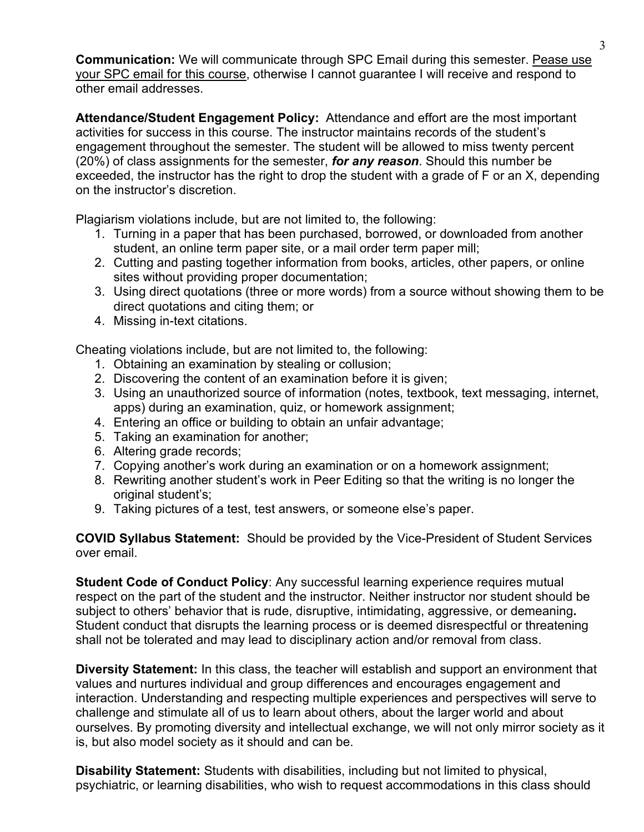**Communication:** We will communicate through SPC Email during this semester. Pease use your SPC email for this course, otherwise I cannot guarantee I will receive and respond to other email addresses.

**Attendance/Student Engagement Policy:** Attendance and effort are the most important activities for success in this course. The instructor maintains records of the student's engagement throughout the semester. The student will be allowed to miss twenty percent (20%) of class assignments for the semester, *for any reason*. Should this number be exceeded, the instructor has the right to drop the student with a grade of F or an X, depending on the instructor's discretion.

Plagiarism violations include, but are not limited to, the following:

- 1. Turning in a paper that has been purchased, borrowed, or downloaded from another student, an online term paper site, or a mail order term paper mill;
- 2. Cutting and pasting together information from books, articles, other papers, or online sites without providing proper documentation;
- 3. Using direct quotations (three or more words) from a source without showing them to be direct quotations and citing them; or
- 4. Missing in-text citations.

Cheating violations include, but are not limited to, the following:

- 1. Obtaining an examination by stealing or collusion;
- 2. Discovering the content of an examination before it is given;
- 3. Using an unauthorized source of information (notes, textbook, text messaging, internet, apps) during an examination, quiz, or homework assignment;
- 4. Entering an office or building to obtain an unfair advantage;
- 5. Taking an examination for another;
- 6. Altering grade records;
- 7. Copying another's work during an examination or on a homework assignment;
- 8. Rewriting another student's work in Peer Editing so that the writing is no longer the original student's;
- 9. Taking pictures of a test, test answers, or someone else's paper.

**COVID Syllabus Statement:** Should be provided by the Vice-President of Student Services over email.

**Student Code of Conduct Policy:** Any successful learning experience requires mutual respect on the part of the student and the instructor. Neither instructor nor student should be subject to others' behavior that is rude, disruptive, intimidating, aggressive, or demeaning**.**  Student conduct that disrupts the learning process or is deemed disrespectful or threatening shall not be tolerated and may lead to disciplinary action and/or removal from class.

**Diversity Statement:** In this class, the teacher will establish and support an environment that values and nurtures individual and group differences and encourages engagement and interaction. Understanding and respecting multiple experiences and perspectives will serve to challenge and stimulate all of us to learn about others, about the larger world and about ourselves. By promoting diversity and intellectual exchange, we will not only mirror society as it is, but also model society as it should and can be.

**Disability Statement:** Students with disabilities, including but not limited to physical, psychiatric, or learning disabilities, who wish to request accommodations in this class should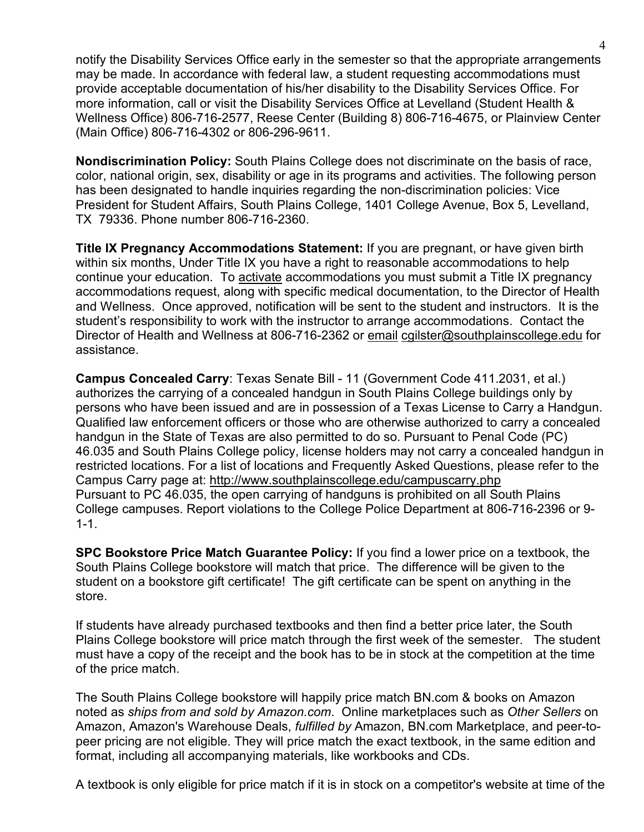notify the Disability Services Office early in the semester so that the appropriate arrangements may be made. In accordance with federal law, a student requesting accommodations must provide acceptable documentation of his/her disability to the Disability Services Office. For more information, call or visit the Disability Services Office at Levelland (Student Health & Wellness Office) 806-716-2577, Reese Center (Building 8) 806-716-4675, or Plainview Center (Main Office) 806-716-4302 or 806-296-9611.

**Nondiscrimination Policy:** South Plains College does not discriminate on the basis of race, color, national origin, sex, disability or age in its programs and activities. The following person has been designated to handle inquiries regarding the non-discrimination policies: Vice President for Student Affairs, South Plains College, 1401 College Avenue, Box 5, Levelland, TX 79336. Phone number 806-716-2360.

**Title IX Pregnancy Accommodations Statement:** If you are pregnant, or have given birth within six months, Under Title IX you have a right to reasonable accommodations to help continue your education. To [activate](http://www.southplainscollege.edu/employees/manualshandbooks/facultyhandbook/sec4.php) accommodations you must submit a Title IX pregnancy accommodations request, along with specific medical documentation, to the Director of Health and Wellness. Once approved, notification will be sent to the student and instructors. It is the student's responsibility to work with the instructor to arrange accommodations. Contact the Director of Health and Wellness at 806-716-2362 or [email](http://www.southplainscollege.edu/employees/manualshandbooks/facultyhandbook/sec4.php) [cgilster@southplainscollege.edu](mailto:cgilster@southplainscollege.edu) for assistance.

**Campus Concealed Carry**: Texas Senate Bill - 11 (Government Code 411.2031, et al.) authorizes the carrying of a concealed handgun in South Plains College buildings only by persons who have been issued and are in possession of a Texas License to Carry a Handgun. Qualified law enforcement officers or those who are otherwise authorized to carry a concealed handgun in the State of Texas are also permitted to do so. Pursuant to Penal Code (PC) 46.035 and South Plains College policy, license holders may not carry a concealed handgun in restricted locations. For a list of locations and Frequently Asked Questions, please refer to the Campus Carry page at: <http://www.southplainscollege.edu/campuscarry.php> Pursuant to PC 46.035, the open carrying of handguns is prohibited on all South Plains College campuses. Report violations to the College Police Department at 806-716-2396 or 9-  $1 - 1$ .

**SPC Bookstore Price Match Guarantee Policy:** If you find a lower price on a textbook, the South Plains College bookstore will match that price. The difference will be given to the student on a bookstore gift certificate! The gift certificate can be spent on anything in the store.

If students have already purchased textbooks and then find a better price later, the South Plains College bookstore will price match through the first week of the semester. The student must have a copy of the receipt and the book has to be in stock at the competition at the time of the price match.

The South Plains College bookstore will happily price match BN.com & books on Amazon noted as *ships from and sold by Amazon.com*. Online marketplaces such as *Other Sellers* on Amazon, Amazon's Warehouse Deals, *fulfilled by* Amazon, BN.com Marketplace, and peer-topeer pricing are not eligible. They will price match the exact textbook, in the same edition and format, including all accompanying materials, like workbooks and CDs.

A textbook is only eligible for price match if it is in stock on a competitor's website at time of the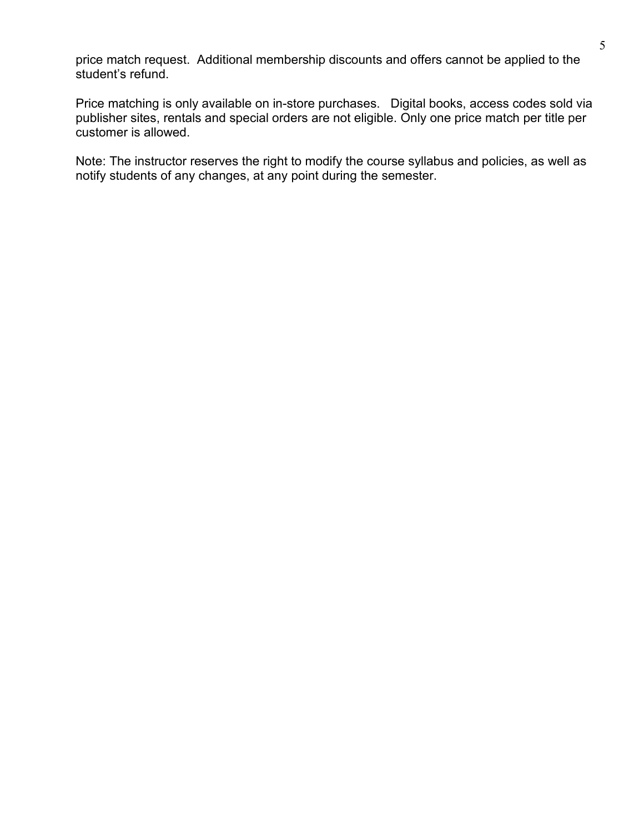price match request. Additional membership discounts and offers cannot be applied to the student's refund.

Price matching is only available on in-store purchases. Digital books, access codes sold via publisher sites, rentals and special orders are not eligible. Only one price match per title per customer is allowed.

Note: The instructor reserves the right to modify the course syllabus and policies, as well as notify students of any changes, at any point during the semester.